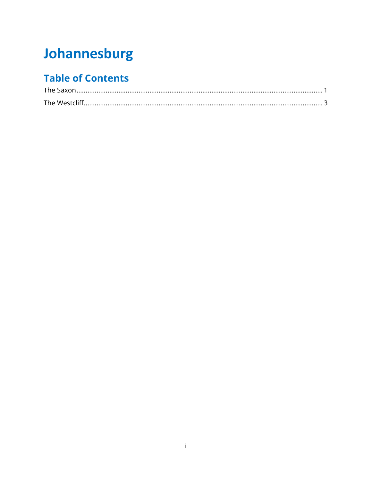# Johannesburg

# **Table of Contents**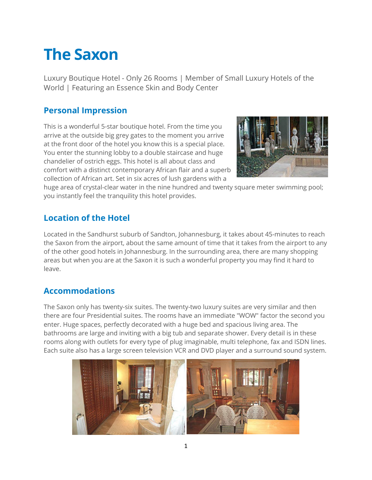# <span id="page-1-0"></span>**The Saxon**

Luxury Boutique Hotel - Only 26 Rooms | Member of Small Luxury Hotels of the World | Featuring an Essence Skin and Body Center

### **Personal Impression**

This is a wonderful 5-star boutique hotel. From the time you arrive at the outside big grey gates to the moment you arrive at the front door of the hotel you know this is a special place. You enter the stunning lobby to a double staircase and huge chandelier of ostrich eggs. This hotel is all about class and comfort with a distinct contemporary African flair and a superb collection of African art. Set in six acres of lush gardens with a



huge area of crystal-clear water in the nine hundred and twenty square meter swimming pool; you instantly feel the tranquility this hotel provides.

# **Location of the Hotel**

Located in the Sandhurst suburb of Sandton, Johannesburg, it takes about 45-minutes to reach the Saxon from the airport, about the same amount of time that it takes from the airport to any of the other good hotels in Johannesburg. In the surrounding area, there are many shopping areas but when you are at the Saxon it is such a wonderful property you may find it hard to leave.

# **Accommodations**

The Saxon only has twenty-six suites. The twenty-two luxury suites are very similar and then there are four Presidential suites. The rooms have an immediate "WOW" factor the second you enter. Huge spaces, perfectly decorated with a huge bed and spacious living area. The bathrooms are large and inviting with a big tub and separate shower. Every detail is in these rooms along with outlets for every type of plug imaginable, multi telephone, fax and ISDN lines. Each suite also has a large screen television VCR and DVD player and a surround sound system.

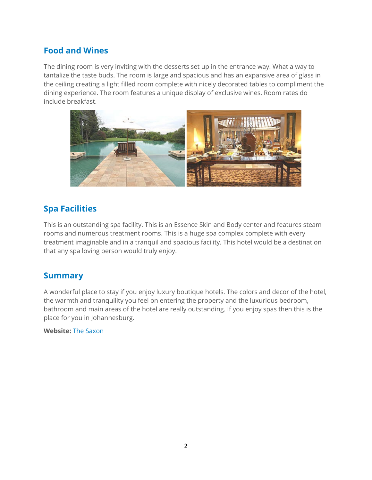## **Food and Wines**

The dining room is very inviting with the desserts set up in the entrance way. What a way to tantalize the taste buds. The room is large and spacious and has an expansive area of glass in the ceiling creating a light filled room complete with nicely decorated tables to compliment the dining experience. The room features a unique display of exclusive wines. Room rates do include breakfast.



#### **Spa Facilities**

This is an outstanding spa facility. This is an Essence Skin and Body center and features steam rooms and numerous treatment rooms. This is a huge spa complex complete with every treatment imaginable and in a tranquil and spacious facility. This hotel would be a destination that any spa loving person would truly enjoy.

#### **Summary**

A wonderful place to stay if you enjoy luxury boutique hotels. The colors and decor of the hotel, the warmth and tranquility you feel on entering the property and the luxurious bedroom, bathroom and main areas of the hotel are really outstanding. If you enjoy spas then this is the place for you in Johannesburg.

**Website:** [The Saxon](http://www.saxon.co.za/)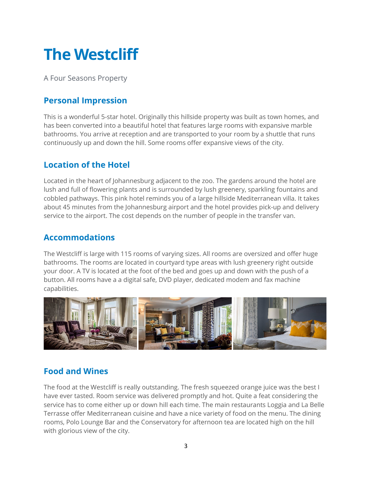# <span id="page-3-0"></span>**The Westcliff**

A Four Seasons Property

## **Personal Impression**

This is a wonderful 5-star hotel. Originally this hillside property was built as town homes, and has been converted into a beautiful hotel that features large rooms with expansive marble bathrooms. You arrive at reception and are transported to your room by a shuttle that runs continuously up and down the hill. Some rooms offer expansive views of the city.

### **Location of the Hotel**

Located in the heart of Johannesburg adjacent to the zoo. The gardens around the hotel are lush and full of flowering plants and is surrounded by lush greenery, sparkling fountains and cobbled pathways. This pink hotel reminds you of a large hillside Mediterranean villa. It takes about 45 minutes from the Johannesburg airport and the hotel provides pick-up and delivery service to the airport. The cost depends on the number of people in the transfer van.

#### **Accommodations**

The Westcliff is large with 115 rooms of varying sizes. All rooms are oversized and offer huge bathrooms. The rooms are located in courtyard type areas with lush greenery right outside your door. A TV is located at the foot of the bed and goes up and down with the push of a button. All rooms have a a digital safe, DVD player, dedicated modem and fax machine capabilities.



# **Food and Wines**

The food at the Westcliff is really outstanding. The fresh squeezed orange juice was the best I have ever tasted. Room service was delivered promptly and hot. Quite a feat considering the service has to come either up or down hill each time. The main restaurants Loggia and La Belle Terrasse offer Mediterranean cuisine and have a nice variety of food on the menu. The dining rooms, Polo Lounge Bar and the Conservatory for afternoon tea are located high on the hill with glorious view of the city.